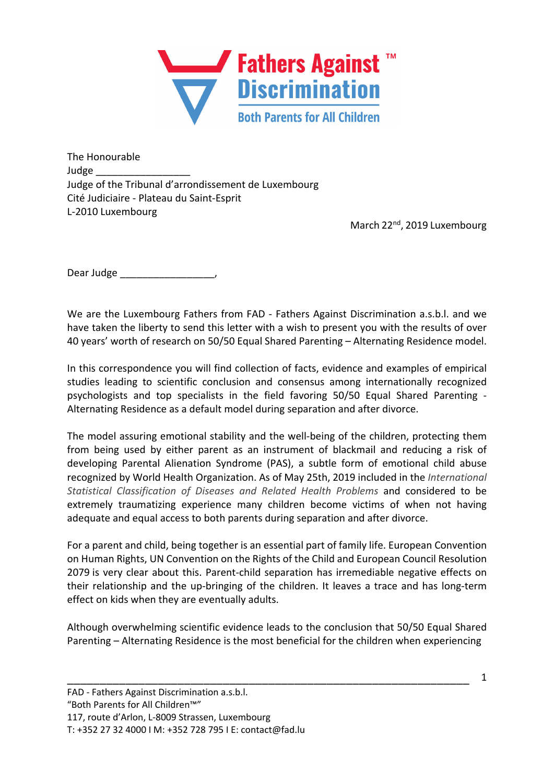

The Honourable Judge \_\_\_\_\_\_\_\_\_\_\_\_\_\_\_\_\_ Judge of the Tribunal d'arrondissement de Luxembourg Cité Judiciaire - Plateau du Saint-Esprit L-2010 Luxembourg

March 22<sup>nd</sup>, 2019 Luxembourg

Dear Judge \_\_\_\_\_\_\_\_\_\_\_\_\_\_\_\_\_\_\_\_\_\_\_,

We are the Luxembourg Fathers from FAD - Fathers Against Discrimination a.s.b.l. and we have taken the liberty to send this letter with a wish to present you with the results of over 40 years' worth of research on 50/50 Equal Shared Parenting – Alternating Residence model.

In this correspondence you will find collection of facts, evidence and examples of empirical studies leading to scientific conclusion and consensus among internationally recognized psychologists and top specialists in the field favoring 50/50 Equal Shared Parenting - Alternating Residence as a default model during separation and after divorce.

The model assuring emotional stability and the well-being of the children, protecting them from being used by either parent as an instrument of blackmail and reducing a risk of developing Parental Alienation Syndrome (PAS), a subtle form of emotional child abuse recognized by World Health Organization. As of May 25th, 2019 included in the *International Statistical Classification of Diseases and Related Health Problems* and considered to be extremely traumatizing experience many children become victims of when not having adequate and equal access to both parents during separation and after divorce.

For a parent and child, being together is an essential part of family life. European Convention on Human Rights, UN Convention on the Rights of the Child and European Council Resolution 2079 is very clear about this. Parent-child separation has irremediable negative effects on their relationship and the up-bringing of the children. It leaves a trace and has long-term effect on kids when they are eventually adults.

Although overwhelming scientific evidence leads to the conclusion that 50/50 Equal Shared Parenting – Alternating Residence is the most beneficial for the children when experiencing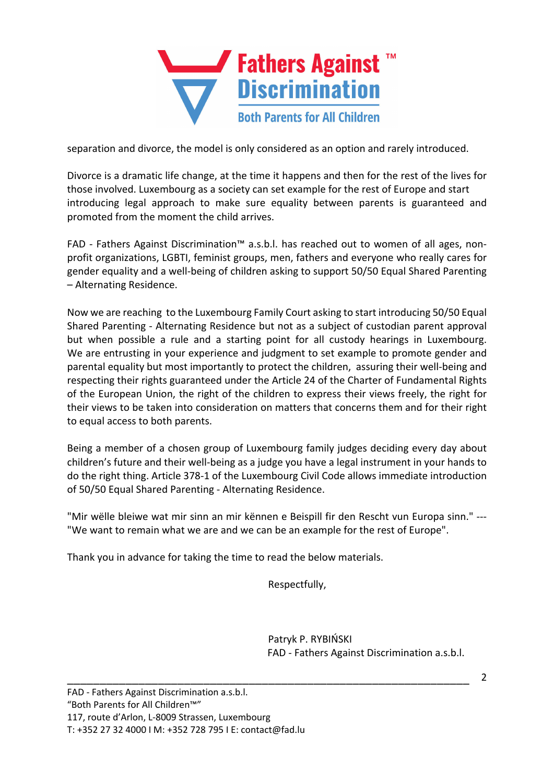

separation and divorce, the model is only considered as an option and rarely introduced.

Divorce is a dramatic life change, at the time it happens and then for the rest of the lives for those involved. Luxembourg as a society can set example for the rest of Europe and start introducing legal approach to make sure equality between parents is guaranteed and promoted from the moment the child arrives.

FAD - Fathers Against Discrimination™ a.s.b.l. has reached out to women of all ages, nonprofit organizations, LGBTI, feminist groups, men, fathers and everyone who really cares for gender equality and a well-being of children asking to support 50/50 Equal Shared Parenting – Alternating Residence.

Now we are reaching to the Luxembourg Family Court asking to start introducing 50/50 Equal Shared Parenting - Alternating Residence but not as a subject of custodian parent approval but when possible a rule and a starting point for all custody hearings in Luxembourg. We are entrusting in your experience and judgment to set example to promote gender and parental equality but most importantly to protect the children, assuring their well-being and respecting their rights guaranteed under the Article 24 of the Charter of Fundamental Rights of the European Union, the right of the children to express their views freely, the right for their views to be taken into consideration on matters that concerns them and for their right to equal access to both parents.

Being a member of a chosen group of Luxembourg family judges deciding every day about children's future and their well-being as a judge you have a legal instrument in your hands to do the right thing. Article 378-1 of the Luxembourg Civil Code allows immediate introduction of 50/50 Equal Shared Parenting - Alternating Residence.

"Mir wëlle bleiwe wat mir sinn an mir kënnen e Beispill fir den Rescht vun Europa sinn." --- "We want to remain what we are and we can be an example for the rest of Europe".

\_\_\_\_\_\_\_\_\_\_\_\_\_\_\_\_\_\_\_\_\_\_\_\_\_\_\_\_\_\_\_\_\_\_\_\_\_\_\_\_\_\_\_\_\_\_\_\_\_\_\_\_\_\_\_\_\_\_\_\_\_\_

Thank you in advance for taking the time to read the below materials.

Respectfully,

Patryk P. RYBIŃSKI FAD - Fathers Against Discrimination a.s.b.l.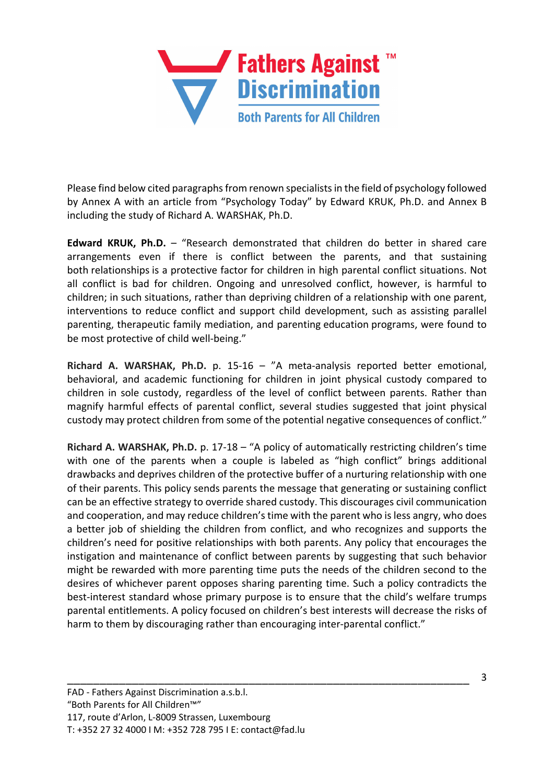

Please find below cited paragraphs from renown specialists in the field of psychology followed by Annex A with an article from "Psychology Today" by Edward KRUK, Ph.D. and Annex B including the study of Richard A. WARSHAK, Ph.D.

**Edward KRUK, Ph.D.** – "Research demonstrated that children do better in shared care arrangements even if there is conflict between the parents, and that sustaining both relationships is a protective factor for children in high parental conflict situations. Not all conflict is bad for children. Ongoing and unresolved conflict, however, is harmful to children; in such situations, rather than depriving children of a relationship with one parent, interventions to reduce conflict and support child development, such as assisting parallel parenting, therapeutic family mediation, and parenting education programs, were found to be most protective of child well-being."

**Richard A. WARSHAK, Ph.D.** p. 15-16 – "A meta-analysis reported better emotional, behavioral, and academic functioning for children in joint physical custody compared to children in sole custody, regardless of the level of conflict between parents. Rather than magnify harmful effects of parental conflict, several studies suggested that joint physical custody may protect children from some of the potential negative consequences of conflict."

**Richard A. WARSHAK, Ph.D.** p. 17-18 – "A policy of automatically restricting children's time with one of the parents when a couple is labeled as "high conflict" brings additional drawbacks and deprives children of the protective buffer of a nurturing relationship with one of their parents. This policy sends parents the message that generating or sustaining conflict can be an effective strategy to override shared custody. This discourages civil communication and cooperation, and may reduce children's time with the parent who is less angry, who does a better job of shielding the children from conflict, and who recognizes and supports the children's need for positive relationships with both parents. Any policy that encourages the instigation and maintenance of conflict between parents by suggesting that such behavior might be rewarded with more parenting time puts the needs of the children second to the desires of whichever parent opposes sharing parenting time. Such a policy contradicts the best-interest standard whose primary purpose is to ensure that the child's welfare trumps parental entitlements. A policy focused on children's best interests will decrease the risks of harm to them by discouraging rather than encouraging inter-parental conflict."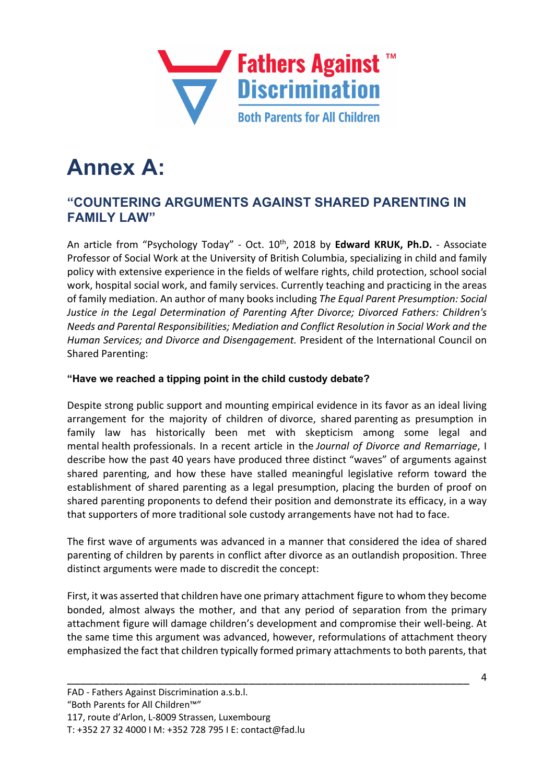

# **Annex A:**

## **"COUNTERING ARGUMENTS AGAINST SHARED PARENTING IN FAMILY LAW"**

An article from "Psychology Today" - Oct. 10th, 2018 by **Edward KRUK, Ph.D.** - Associate Professor of Social Work at the University of British Columbia, specializing in child and family policy with extensive experience in the fields of welfare rights, child protection, school social work, hospital social work, and family services. Currently teaching and practicing in the areas of family mediation. An author of many books including *The Equal Parent Presumption: Social Justice in the Legal Determination of Parenting After Divorce; Divorced Fathers: Children's Needs and Parental Responsibilities; Mediation and Conflict Resolution in Social Work and the Human Services; and Divorce and Disengagement.* President of the International Council on Shared Parenting:

#### **"Have we reached a tipping point in the child custody debate?**

Despite strong public support and mounting empirical evidence in its favor as an ideal living arrangement for the majority of children of divorce, shared parenting as presumption in family law has historically been met with skepticism among some legal and mental health professionals. In a recent article in the *Journal of Divorce and Remarriage*, I describe how the past 40 years have produced three distinct "waves" of arguments against shared parenting, and how these have stalled meaningful legislative reform toward the establishment of shared parenting as a legal presumption, placing the burden of proof on shared parenting proponents to defend their position and demonstrate its efficacy, in a way that supporters of more traditional sole custody arrangements have not had to face.

The first wave of arguments was advanced in a manner that considered the idea of shared parenting of children by parents in conflict after divorce as an outlandish proposition. Three distinct arguments were made to discredit the concept:

First, it was asserted that children have one primary attachment figure to whom they become bonded, almost always the mother, and that any period of separation from the primary attachment figure will damage children's development and compromise their well-being. At the same time this argument was advanced, however, reformulations of attachment theory emphasized the fact that children typically formed primary attachments to both parents, that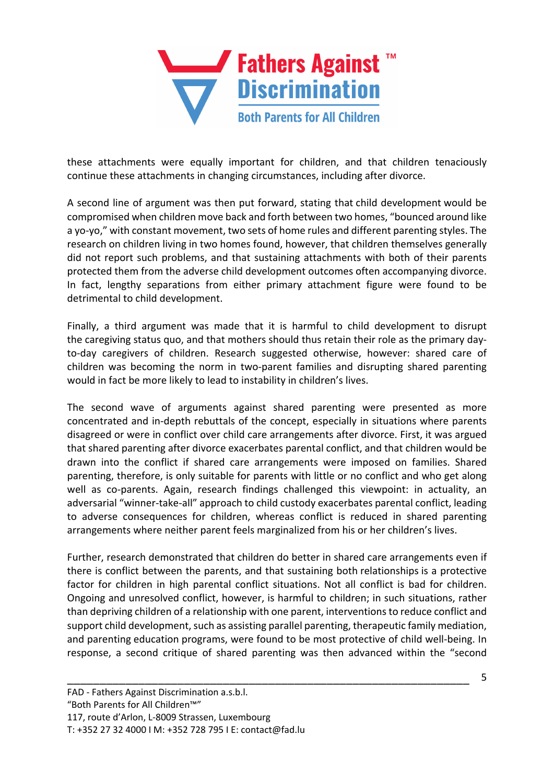

these attachments were equally important for children, and that children tenaciously continue these attachments in changing circumstances, including after divorce.

A second line of argument was then put forward, stating that child development would be compromised when children move back and forth between two homes, "bounced around like a yo-yo," with constant movement, two sets of home rules and different parenting styles. The research on children living in two homes found, however, that children themselves generally did not report such problems, and that sustaining attachments with both of their parents protected them from the adverse child development outcomes often accompanying divorce. In fact, lengthy separations from either primary attachment figure were found to be detrimental to child development.

Finally, a third argument was made that it is harmful to child development to disrupt the caregiving status quo, and that mothers should thus retain their role as the primary dayto-day caregivers of children. Research suggested otherwise, however: shared care of children was becoming the norm in two-parent families and disrupting shared parenting would in fact be more likely to lead to instability in children's lives.

The second wave of arguments against shared parenting were presented as more concentrated and in-depth rebuttals of the concept, especially in situations where parents disagreed or were in conflict over child care arrangements after divorce. First, it was argued that shared parenting after divorce exacerbates parental conflict, and that children would be drawn into the conflict if shared care arrangements were imposed on families. Shared parenting, therefore, is only suitable for parents with little or no conflict and who get along well as co-parents. Again, research findings challenged this viewpoint: in actuality, an adversarial "winner-take-all" approach to child custody exacerbates parental conflict, leading to adverse consequences for children, whereas conflict is reduced in shared parenting arrangements where neither parent feels marginalized from his or her children's lives.

Further, research demonstrated that children do better in shared care arrangements even if there is conflict between the parents, and that sustaining both relationships is a protective factor for children in high parental conflict situations. Not all conflict is bad for children. Ongoing and unresolved conflict, however, is harmful to children; in such situations, rather than depriving children of a relationship with one parent, interventions to reduce conflict and support child development, such as assisting parallel parenting, therapeutic family mediation, and parenting education programs, were found to be most protective of child well-being. In response, a second critique of shared parenting was then advanced within the "second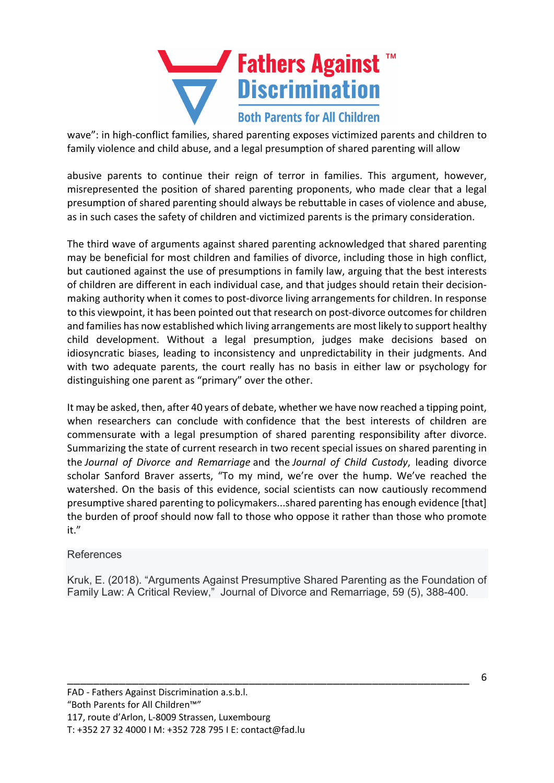

wave": in high-conflict families, shared parenting exposes victimized parents and children to family violence and child abuse, and a legal presumption of shared parenting will allow

abusive parents to continue their reign of terror in families. This argument, however, misrepresented the position of shared parenting proponents, who made clear that a legal presumption of shared parenting should always be rebuttable in cases of violence and abuse, as in such cases the safety of children and victimized parents is the primary consideration.

The third wave of arguments against shared parenting acknowledged that shared parenting may be beneficial for most children and families of divorce, including those in high conflict, but cautioned against the use of presumptions in family law, arguing that the best interests of children are different in each individual case, and that judges should retain their decisionmaking authority when it comes to post-divorce living arrangements for children. In response to this viewpoint, it has been pointed out that research on post-divorce outcomes for children and families has now established which living arrangements are most likely to support healthy child development. Without a legal presumption, judges make decisions based on idiosyncratic biases, leading to inconsistency and unpredictability in their judgments. And with two adequate parents, the court really has no basis in either law or psychology for distinguishing one parent as "primary" over the other.

It may be asked, then, after 40 years of debate, whether we have now reached a tipping point, when researchers can conclude with confidence that the best interests of children are commensurate with a legal presumption of shared parenting responsibility after divorce. Summarizing the state of current research in two recent special issues on shared parenting in the *Journal of Divorce and Remarriage* and the *Journal of Child Custody*, leading divorce scholar Sanford Braver asserts, "To my mind, we're over the hump. We've reached the watershed. On the basis of this evidence, social scientists can now cautiously recommend presumptive shared parenting to policymakers...shared parenting has enough evidence [that] the burden of proof should now fall to those who oppose it rather than those who promote it."

#### References

Kruk, E. (2018). "Arguments Against Presumptive Shared Parenting as the Foundation of Family Law: A Critical Review," Journal of Divorce and Remarriage, 59 (5), 388-400.